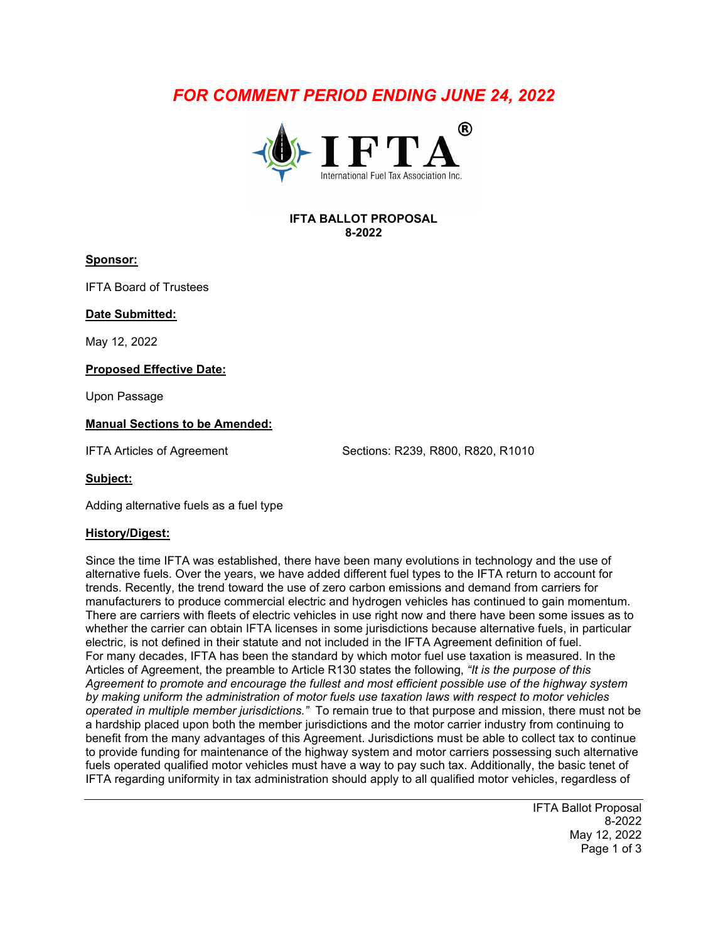# *FOR COMMENT PERIOD ENDING JUNE 24, 2022*



### **IFTA BALLOT PROPOSAL 8-2022**

#### **Sponsor:**

IFTA Board of Trustees

**Date Submitted:**

May 12, 2022

#### **Proposed Effective Date:**

Upon Passage

#### **Manual Sections to be Amended:**

IFTA Articles of Agreement Sections: R239, R800, R820, R1010

**Subject:**

Adding alternative fuels as a fuel type

#### **History/Digest:**

Since the time IFTA was established, there have been many evolutions in technology and the use of alternative fuels. Over the years, we have added different fuel types to the IFTA return to account for trends. Recently, the trend toward the use of zero carbon emissions and demand from carriers for manufacturers to produce commercial electric and hydrogen vehicles has continued to gain momentum. There are carriers with fleets of electric vehicles in use right now and there have been some issues as to whether the carrier can obtain IFTA licenses in some jurisdictions because alternative fuels, in particular electric, is not defined in their statute and not included in the IFTA Agreement definition of fuel. For many decades, IFTA has been the standard by which motor fuel use taxation is measured. In the Articles of Agreement, the preamble to Article R130 states the following, *"It is the purpose of this Agreement to promote and encourage the fullest and most efficient possible use of the highway system by making uniform the administration of motor fuels use taxation laws with respect to motor vehicles operated in multiple member jurisdictions."* To remain true to that purpose and mission, there must not be a hardship placed upon both the member jurisdictions and the motor carrier industry from continuing to benefit from the many advantages of this Agreement. Jurisdictions must be able to collect tax to continue to provide funding for maintenance of the highway system and motor carriers possessing such alternative fuels operated qualified motor vehicles must have a way to pay such tax. Additionally, the basic tenet of IFTA regarding uniformity in tax administration should apply to all qualified motor vehicles, regardless of

> IFTA Ballot Proposal 8-2022 May 12, 2022 Page 1 of 3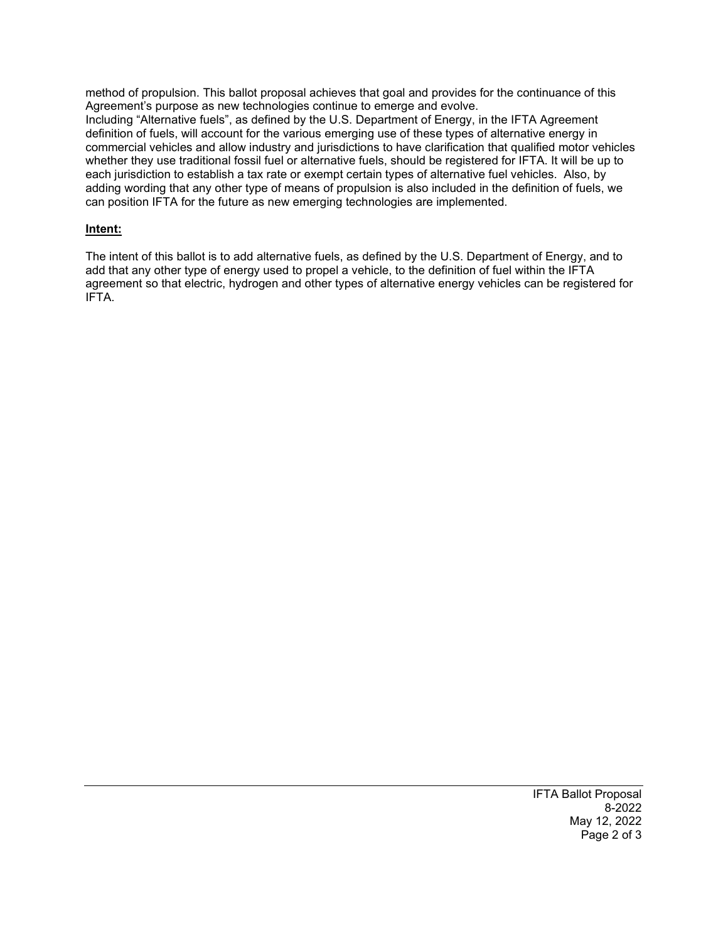method of propulsion. This ballot proposal achieves that goal and provides for the continuance of this Agreement's purpose as new technologies continue to emerge and evolve.

Including "Alternative fuels", as defined by the U.S. Department of Energy, in the IFTA Agreement definition of fuels, will account for the various emerging use of these types of alternative energy in commercial vehicles and allow industry and jurisdictions to have clarification that qualified motor vehicles whether they use traditional fossil fuel or alternative fuels, should be registered for IFTA. It will be up to each jurisdiction to establish a tax rate or exempt certain types of alternative fuel vehicles. Also, by adding wording that any other type of means of propulsion is also included in the definition of fuels, we can position IFTA for the future as new emerging technologies are implemented.

# **Intent:**

The intent of this ballot is to add alternative fuels, as defined by the U.S. Department of Energy, and to add that any other type of energy used to propel a vehicle, to the definition of fuel within the IFTA agreement so that electric, hydrogen and other types of alternative energy vehicles can be registered for IFTA.